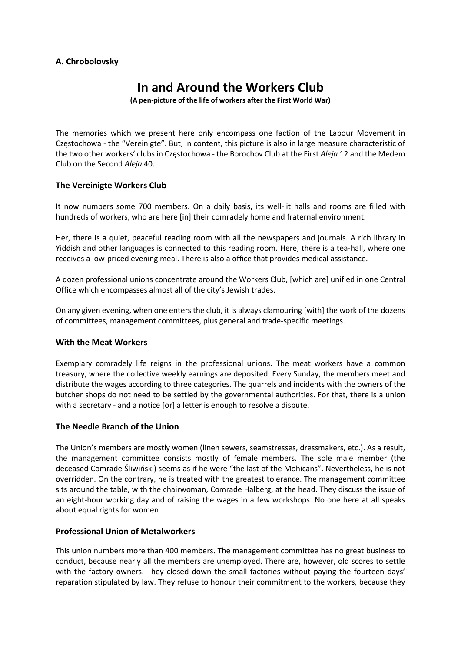## A. Chrobolovsky

# In and Around the Workers Club

(A pen-picture of the life of workers after the First World War)

The memories which we present here only encompass one faction of the Labour Movement in Częstochowa - the "Vereinigte". But, in content, this picture is also in large measure characteristic of the two other workers' clubs in Częstochowa - the Borochov Club at the First Aleja 12 and the Medem Club on the Second Aleja 40.

## The Vereinigte Workers Club

It now numbers some 700 members. On a daily basis, its well-lit halls and rooms are filled with hundreds of workers, who are here [in] their comradely home and fraternal environment.

Her, there is a quiet, peaceful reading room with all the newspapers and journals. A rich library in Yiddish and other languages is connected to this reading room. Here, there is a tea-hall, where one receives a low-priced evening meal. There is also a office that provides medical assistance.

A dozen professional unions concentrate around the Workers Club, [which are] unified in one Central Office which encompasses almost all of the city's Jewish trades.

On any given evening, when one enters the club, it is always clamouring [with] the work of the dozens of committees, management committees, plus general and trade-specific meetings.

## With the Meat Workers

Exemplary comradely life reigns in the professional unions. The meat workers have a common treasury, where the collective weekly earnings are deposited. Every Sunday, the members meet and distribute the wages according to three categories. The quarrels and incidents with the owners of the butcher shops do not need to be settled by the governmental authorities. For that, there is a union with a secretary - and a notice [or] a letter is enough to resolve a dispute.

## The Needle Branch of the Union

The Union's members are mostly women (linen sewers, seamstresses, dressmakers, etc.). As a result, the management committee consists mostly of female members. The sole male member (the deceased Comrade Śliwiński) seems as if he were "the last of the Mohicans". Nevertheless, he is not overridden. On the contrary, he is treated with the greatest tolerance. The management committee sits around the table, with the chairwoman, Comrade Halberg, at the head. They discuss the issue of an eight-hour working day and of raising the wages in a few workshops. No one here at all speaks about equal rights for women

## Professional Union of Metalworkers

This union numbers more than 400 members. The management committee has no great business to conduct, because nearly all the members are unemployed. There are, however, old scores to settle with the factory owners. They closed down the small factories without paying the fourteen days' reparation stipulated by law. They refuse to honour their commitment to the workers, because they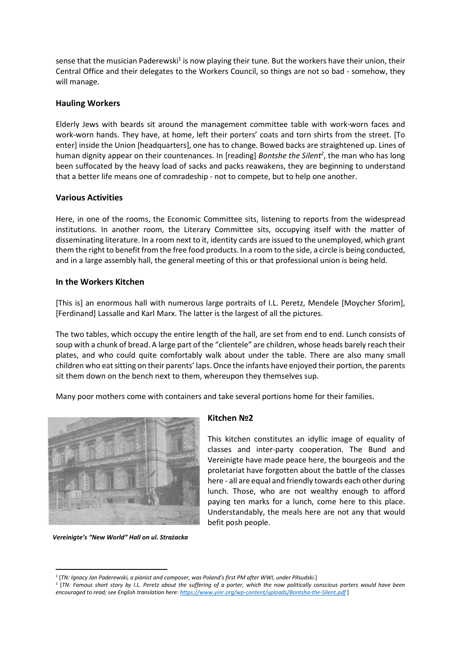sense that the musician Paderewski<sup>1</sup> is now playing their tune. But the workers have their union, their Central Office and their delegates to the Workers Council, so things are not so bad - somehow, they will manage.

#### Hauling Workers

Elderly Jews with beards sit around the management committee table with work-worn faces and work-worn hands. They have, at home, left their porters' coats and torn shirts from the street. [To enter] inside the Union [headquarters], one has to change. Bowed backs are straightened up. Lines of human dignity appear on their countenances. In [reading] Bontshe the Silent<sup>2</sup>, the man who has long been suffocated by the heavy load of sacks and packs reawakens, they are beginning to understand that a better life means one of comradeship - not to compete, but to help one another.

#### Various Activities

Here, in one of the rooms, the Economic Committee sits, listening to reports from the widespread institutions. In another room, the Literary Committee sits, occupying itself with the matter of disseminating literature. In a room next to it, identity cards are issued to the unemployed, which grant them the right to benefit from the free food products. In a room to the side, a circle is being conducted, and in a large assembly hall, the general meeting of this or that professional union is being held.

#### In the Workers Kitchen

[This is] an enormous hall with numerous large portraits of I.L. Peretz, Mendele [Moycher Sforim], [Ferdinand] Lassalle and Karl Marx. The latter is the largest of all the pictures.

The two tables, which occupy the entire length of the hall, are set from end to end. Lunch consists of soup with a chunk of bread. A large part of the "clientele" are children, whose heads barely reach their plates, and who could quite comfortably walk about under the table. There are also many small children who eat sitting on their parents' laps. Once the infants have enjoyed their portion, the parents sit them down on the bench next to them, whereupon they themselves sup.

Many poor mothers come with containers and take several portions home for their families.



Vereinigte's "New World" Hall on ul. Strażacka

## Kitchen No<sub>2</sub>

This kitchen constitutes an idyllic image of equality of classes and inter-party cooperation. The Bund and Vereinigte have made peace here, the bourgeois and the proletariat have forgotten about the battle of the classes here - all are equal and friendly towards each other during lunch. Those, who are not wealthy enough to afford paying ten marks for a lunch, come here to this place. Understandably, the meals here are not any that would befit posh people.

<sup>1</sup> [TN: Ignacy Jan Paderewski, a pianist and composer, was Poland's first PM after WWI, under Piłsudski.]

<sup>&</sup>lt;sup>2</sup> [TN: Famous short story by I.L. Peretz about the suffering of a porter, which the now politically conscious porters would have been encouraged to read; see English translation here: https://www.yinr.org/wp-content/uploads/Bontsha-the-Silent.pdf]